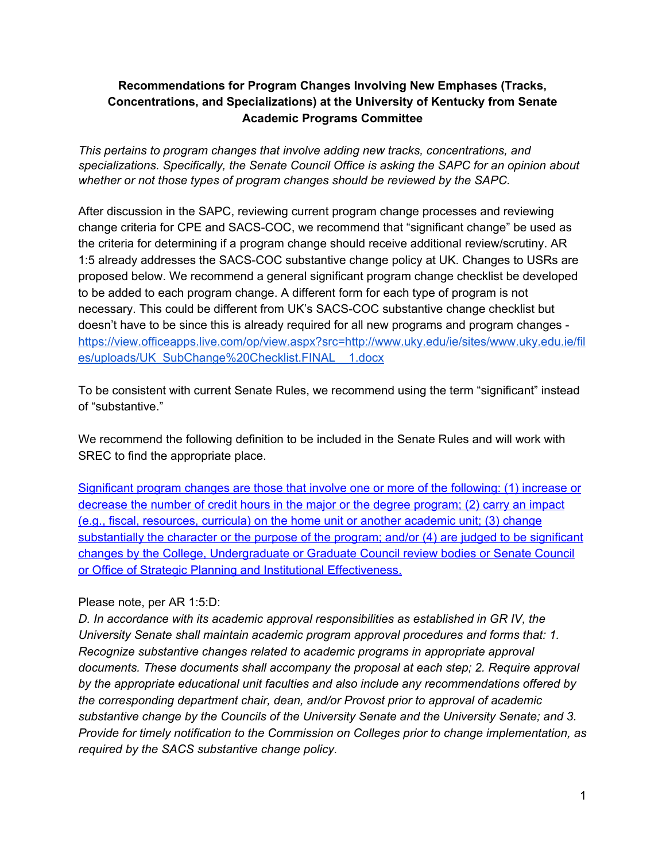### **Recommendations for Program Changes Involving New Emphases (Tracks, Concentrations, and Specializations) at the University of Kentucky from Senate Academic Programs Committee**

*This pertains to program changes that involve adding new tracks, concentrations, and specializations. Specifically, the Senate Council Office is asking the SAPC for an opinion about whether or not those types of program changes should be reviewed by the SAPC.*

After discussion in the SAPC, reviewing current program change processes and reviewing change criteria for CPE and SACS-COC, we recommend that "significant change" be used as the criteria for determining if a program change should receive additional review/scrutiny. AR 1:5 already addresses the SACS-COC substantive change policy at UK. Changes to USRs are proposed below. We recommend a general significant program change checklist be developed to be added to each program change. A different form for each type of program is not necessary. This could be different from UK's SACS-COC substantive change checklist but doesn't have to be since this is already required for all new programs and program changes [https://view.officeapps.live.com/op/view.aspx?src=http://www.uky.edu/ie/sites/www.uky.edu.ie/fil](https://view.officeapps.live.com/op/view.aspx?src=http://www.uky.edu/ie/sites/www.uky.edu.ie/files/uploads/UK_SubChange%20Checklist.FINAL__1.docx) [es/uploads/UK\\_SubChange%20Checklist.FINAL\\_\\_1.docx](https://view.officeapps.live.com/op/view.aspx?src=http://www.uky.edu/ie/sites/www.uky.edu.ie/files/uploads/UK_SubChange%20Checklist.FINAL__1.docx)

To be consistent with current Senate Rules, we recommend using the term "significant" instead of "substantive."

We recommend the following definition to be included in the Senate Rules and will work with SREC to find the appropriate place.

Significant program changes are those that involve one or more of the following: (1) increase or decrease the number of credit hours in the major or the degree program; (2) carry an impact (e.g., fiscal, resources, curricula) on the home unit or another academic unit; (3) change substantially the character or the purpose of the program; and/or (4) are judged to be significant changes by the College, Undergraduate or Graduate Council review bodies or Senate Council or Office of Strategic Planning and Institutional Effectiveness.

#### Please note, per AR 1:5:D:

*D. In accordance with its academic approval responsibilities as established in GR IV, the University Senate shall maintain academic program approval procedures and forms that: 1. Recognize substantive changes related to academic programs in appropriate approval documents. These documents shall accompany the proposal at each step; 2. Require approval by the appropriate educational unit faculties and also include any recommendations offered by the corresponding department chair, dean, and/or Provost prior to approval of academic substantive change by the Councils of the University Senate and the University Senate; and 3. Provide for timely notification to the Commission on Colleges prior to change implementation, as required by the SACS substantive change policy.*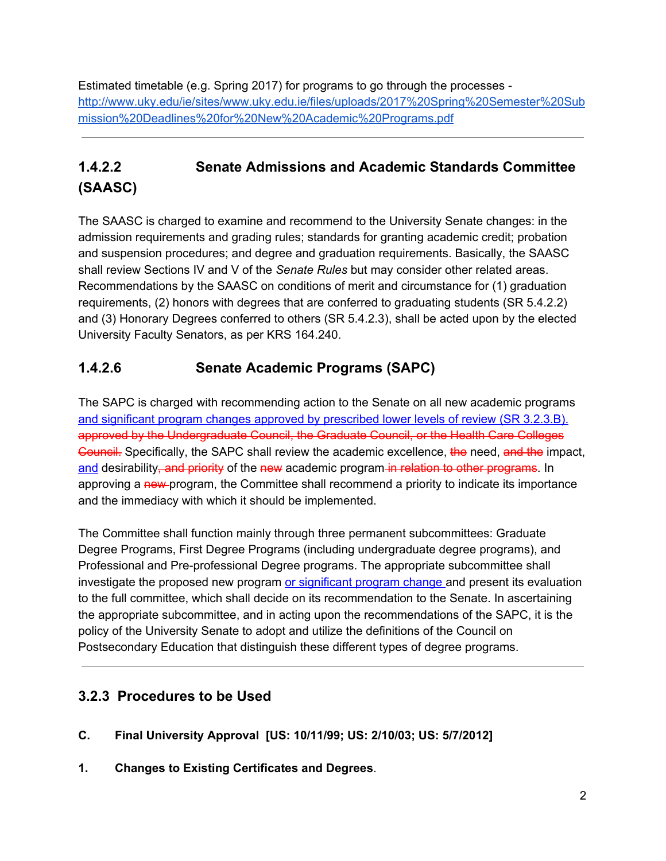Estimated timetable (e.g. Spring 2017) for programs to go through the processes [http://www.uky.edu/ie/sites/www.uky.edu.ie/files/uploads/2017%20Spring%20Semester%20Sub](http://www.uky.edu/ie/sites/www.uky.edu.ie/files/uploads/2017%20Spring%20Semester%20Submission%20Deadlines%20for%20New%20Academic%20Programs.pdf) [mission%20Deadlines%20for%20New%20Academic%20Programs.pdf](http://www.uky.edu/ie/sites/www.uky.edu.ie/files/uploads/2017%20Spring%20Semester%20Submission%20Deadlines%20for%20New%20Academic%20Programs.pdf)

# **1.4.2.2 Senate Admissions and Academic Standards Committee (SAASC)**

The SAASC is charged to examine and recommend to the University Senate changes: in the admission requirements and grading rules; standards for granting academic credit; probation and suspension procedures; and degree and graduation requirements. Basically, the SAASC shall review Sections IV and V of the *Senate Rules* but may consider other related areas. Recommendations by the SAASC on conditions of merit and circumstance for (1) graduation requirements, (2) honors with degrees that are conferred to graduating students (SR 5.4.2.2) and (3) Honorary Degrees conferred to others (SR 5.4.2.3), shall be acted upon by the elected University Faculty Senators, as per KRS 164.240.

## **1.4.2.6 Senate Academic Programs (SAPC)**

The SAPC is charged with recommending action to the Senate on all new academic programs and significant program changes approved by prescribed lower levels of review (SR 3.2.3.B). approved by the Undergraduate Council, the Graduate Council, or the Health Care Colleges Council. Specifically, the SAPC shall review the academic excellence, the need, and the impact, and desirability–and priority of the new academic program in relation to other programs. In approving a new-program, the Committee shall recommend a priority to indicate its importance and the immediacy with which it should be implemented.

The Committee shall function mainly through three permanent subcommittees: Graduate Degree Programs, First Degree Programs (including undergraduate degree programs), and Professional and Pre-professional Degree programs. The appropriate subcommittee shall investigate the proposed new program or significant program change and present its evaluation to the full committee, which shall decide on its recommendation to the Senate. In ascertaining the appropriate subcommittee, and in acting upon the recommendations of the SAPC, it is the policy of the University Senate to adopt and utilize the definitions of the Council on Postsecondary Education that distinguish these different types of degree programs.

## **3.2.3 Procedures to be Used**

- **C. Final University Approval [US: 10/11/99; US: 2/10/03; US: 5/7/2012]**
- **1. Changes to Existing Certificates and Degrees**.